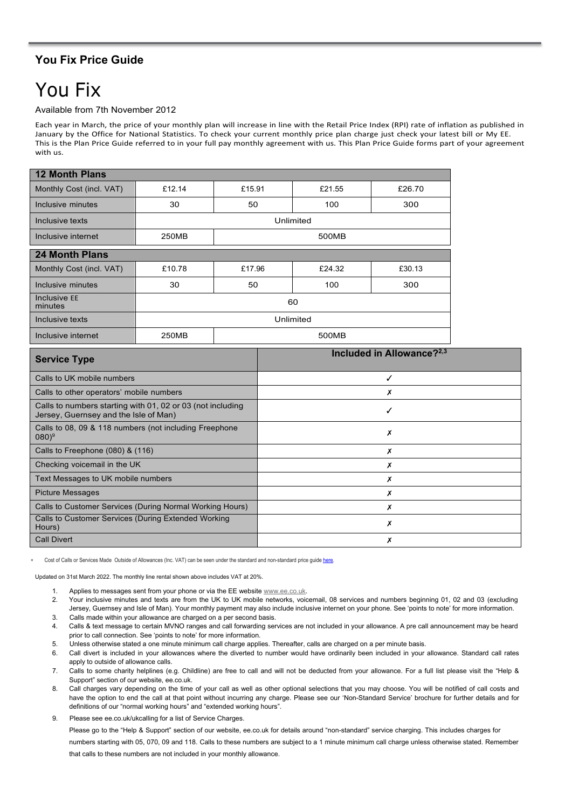## **You Fix Price Guide**

## You Fix

## Available from 7th November 2012

Each year in March, the price of your monthly plan will increase in line with the Retail Price Index (RPI) rate of inflation as published in January by the Office for National Statistics. To check your current monthly price plan charge just check your latest bill or My EE. This is the Plan Price Guide referred to in your full pay monthly agreement with us. This Plan Price Guide forms part of your agreement with us.

| 12 Month Plans           |                |        |        |        |  |
|--------------------------|----------------|--------|--------|--------|--|
| Monthly Cost (incl. VAT) | £12.14         | £15.91 | £21.55 | £26.70 |  |
| Inclusive minutes        | 30             | 50     | 100    | 300    |  |
| Inclusive texts          | Unlimited      |        |        |        |  |
| Inclusive internet       | 250MB          | 500MB  |        |        |  |
| 24 Month Plans           |                |        |        |        |  |
| Monthly Cost (incl. VAT) | £10.78         | £17.96 | £24.32 | £30.13 |  |
| Inclusive minutes        | 30             | 50     | 100    | 300    |  |
| Inclusive EE<br>minutes  | 60             |        |        |        |  |
| Inclusive texts          | Unlimited      |        |        |        |  |
| Inclusive internet       | 250MB<br>500MB |        |        |        |  |

| <b>Service Type</b>                                                                                 | Included in Allowance? <sup>2,3</sup> |  |  |
|-----------------------------------------------------------------------------------------------------|---------------------------------------|--|--|
| Calls to UK mobile numbers                                                                          | √                                     |  |  |
| Calls to other operators' mobile numbers                                                            | X                                     |  |  |
| Calls to numbers starting with 01, 02 or 03 (not including<br>Jersey, Guernsey and the Isle of Man) |                                       |  |  |
| Calls to 08, 09 & 118 numbers (not including Freephone<br>$(080)^9$                                 | х                                     |  |  |
| Calls to Freephone (080) & (116)                                                                    | х                                     |  |  |
| Checking voicemail in the UK                                                                        | Х                                     |  |  |
| Text Messages to UK mobile numbers                                                                  | X                                     |  |  |
| <b>Picture Messages</b>                                                                             | Х                                     |  |  |
| Calls to Customer Services (During Normal Working Hours)                                            | Х                                     |  |  |
| Calls to Customer Services (During Extended Working<br>Hours)                                       | Х                                     |  |  |
| <b>Call Divert</b>                                                                                  | х                                     |  |  |

Cost of Calls or Services Made Outside of Allowances (Inc. VAT) can be seen under the standard and non-standard price guid[e here.](https://ee.co.uk/help/help-new/price-plans/legacy-brand/pay-monthly-price-plans)

Updated on 31st March 2022. The monthly line rental shown above includes VAT at 20%.

- 1. Applies to messages sent from your phone or via the EE website [www.](http://www/)[ee.co.uk.](http://www.t-mobile.co.uk/)
- 2. Your inclusive minutes and texts are from the UK to UK mobile networks, voicemail, 08 services and numbers beginning 01, 02 and 03 (excluding Jersey, Guernsey and Isle of Man). Your monthly payment may also include inclusive internet on your phone. See 'points to note' for more information. 3. Calls made within your allowance are charged on a per second basis.
- 4. Calls & text message to certain MVNO ranges and call forwarding services are not included in your allowance. A pre call announcement may be heard prior to call connection. See 'points to note' for more information.
- 5. Unless otherwise stated a one minute minimum call charge applies. Thereafter, calls are charged on a per minute basis.
- 6. Call divert is included in your allowances where the diverted to number would have ordinarily been included in your allowance. Standard call rates apply to outside of allowance calls.
- 7. Calls to some charity helplines (e.g. Childline) are free to call and will not be deducted from your allowance. For a full list please visit the "Help & Support" section of our website, ee.co.uk.
- 8. Call charges vary depending on the time of your call as well as other optional selections that you may choose. You will be notified of call costs and have the option to end the call at that point without incurring any charge. Please see our 'Non-Standard Service' brochure for further details and for definitions of our "normal working hours" and "extended working hours".
- 9. Please see ee.co.uk/ukcalling for a list of Service Charges.

Please go to the "Help & Support" section of our website, ee.co.uk for details around "non-standard" service charging. This includes charges for

numbers starting with 05, 070, 09 and 118. Calls to these numbers are subject to a 1 minute minimum call charge unless otherwise stated. Remember

that calls to these numbers are not included in your monthly allowance.